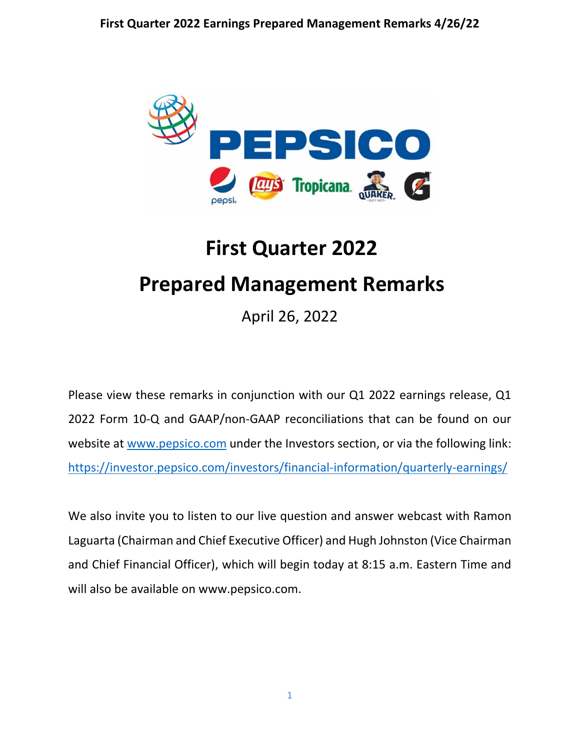

# **First Quarter 2022 Prepared Management Remarks**

April 26, 2022

Please view these remarks in conjunction with our Q1 2022 earnings release, Q1 2022 Form 10-Q and GAAP/non-GAAP reconciliations that can be found on our website at [www.pepsico.com](http://www.pepsico.com/) under the Investors section, or via the following link: <https://investor.pepsico.com/investors/financial-information/quarterly-earnings/>

We also invite you to listen to our live question and answer webcast with Ramon Laguarta (Chairman and Chief Executive Officer) and Hugh Johnston (Vice Chairman and Chief Financial Officer), which will begin today at 8:15 a.m. Eastern Time and will also be available on www.pepsico.com.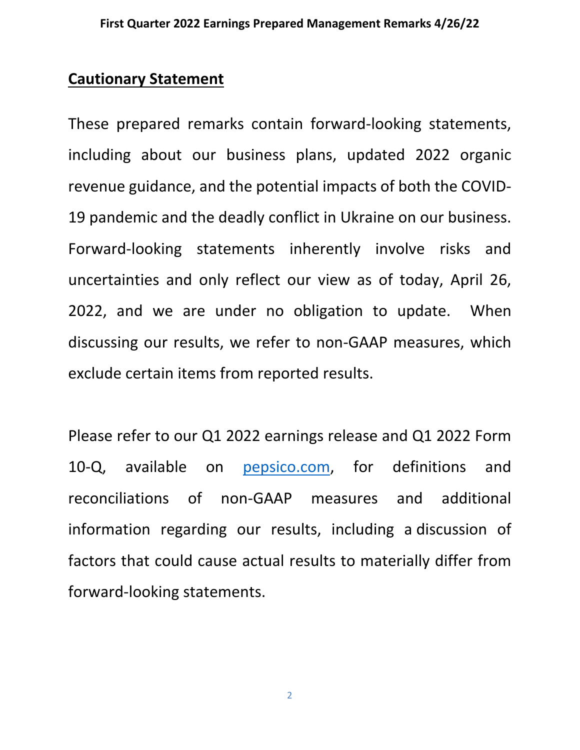## **Cautionary Statement**

These prepared remarks contain forward-looking statements, including about our business plans, updated 2022 organic revenue guidance, and the potential impacts of both the COVID-19 pandemic and the deadly conflict in Ukraine on our business. Forward-looking statements inherently involve risks and uncertainties and only reflect our view as of today, April 26, 2022, and we are under no obligation to update. When discussing our results, we refer to non-GAAP measures, which exclude certain items from reported results.

Please refer to our Q1 2022 earnings release and Q1 2022 Form 10-Q, available on [pepsico.com,](http://pepsico.com/) for definitions and reconciliations of non-GAAP measures and additional information regarding our results, including a discussion of factors that could cause actual results to materially differ from forward-looking statements.

2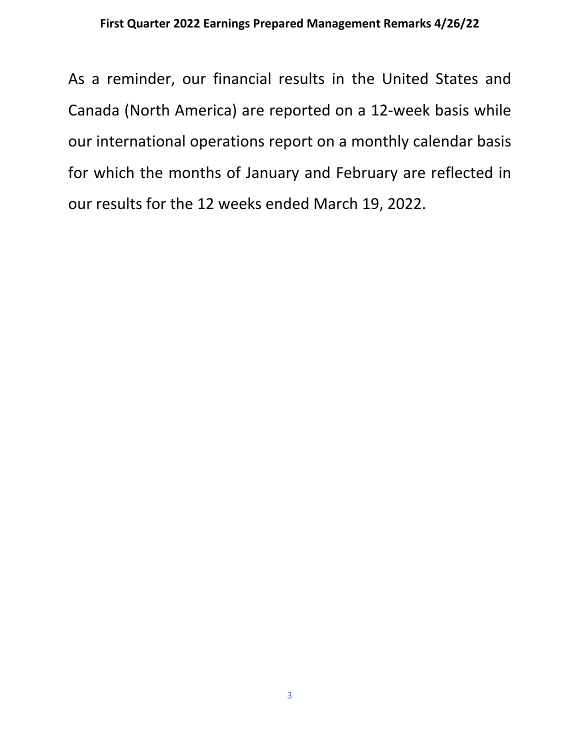As a reminder, our financial results in the United States and Canada (North America) are reported on a 12-week basis while our international operations report on a monthly calendar basis for which the months of January and February are reflected in our results for the 12 weeks ended March 19, 2022.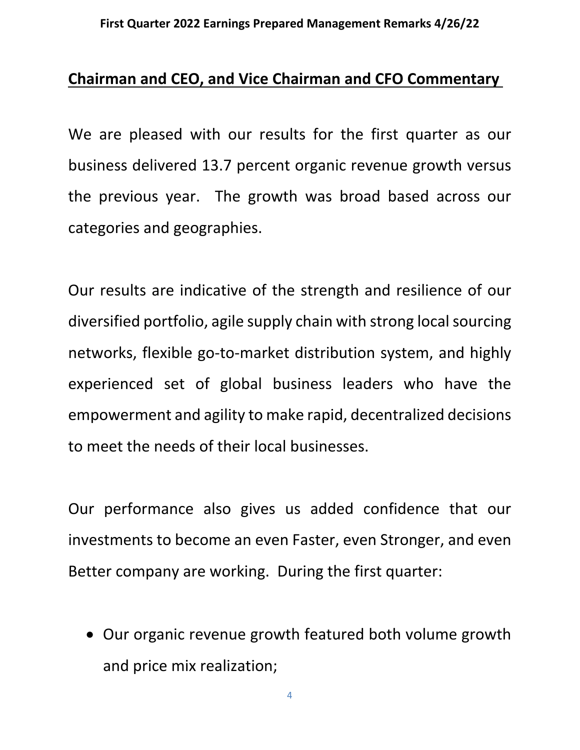## **Chairman and CEO, and Vice Chairman and CFO Commentary**

We are pleased with our results for the first quarter as our business delivered 13.7 percent organic revenue growth versus the previous year. The growth was broad based across our categories and geographies.

Our results are indicative of the strength and resilience of our diversified portfolio, agile supply chain with strong local sourcing networks, flexible go-to-market distribution system, and highly experienced set of global business leaders who have the empowerment and agility to make rapid, decentralized decisions to meet the needs of their local businesses.

Our performance also gives us added confidence that our investments to become an even Faster, even Stronger, and even Better company are working. During the first quarter:

• Our organic revenue growth featured both volume growth and price mix realization;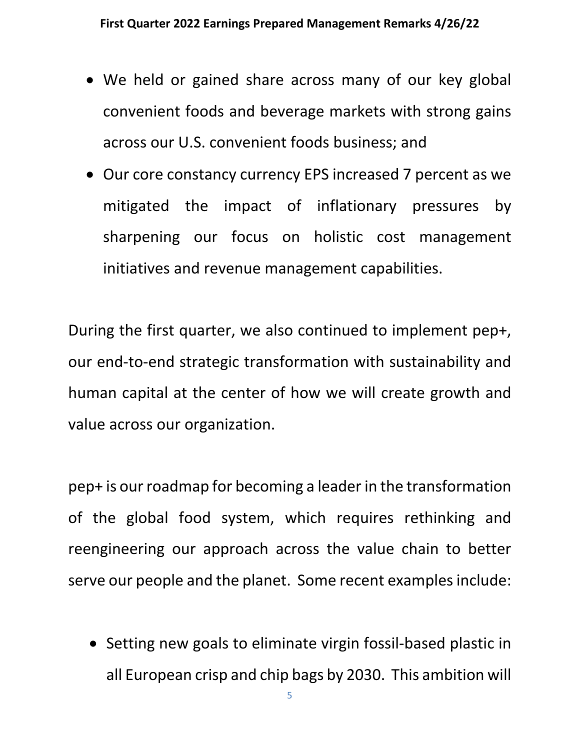- We held or gained share across many of our key global convenient foods and beverage markets with strong gains across our U.S. convenient foods business; and
- Our core constancy currency EPS increased 7 percent as we mitigated the impact of inflationary pressures by sharpening our focus on holistic cost management initiatives and revenue management capabilities.

During the first quarter, we also continued to implement pep+, our end-to-end strategic transformation with sustainability and human capital at the center of how we will create growth and value across our organization.

pep+ is our roadmap for becoming a leader in the transformation of the global food system, which requires rethinking and reengineering our approach across the value chain to better serve our people and the planet. Some recent examples include:

• Setting new goals to eliminate virgin fossil-based plastic in all European crisp and chip bags by 2030. This ambition will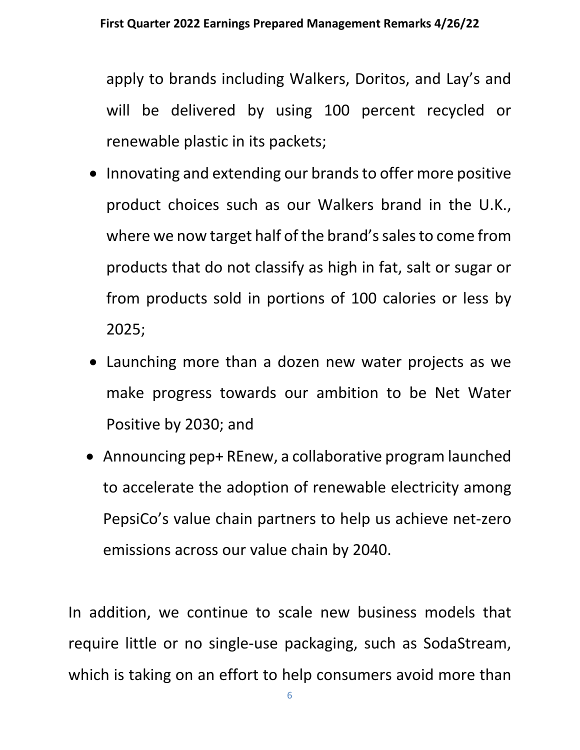apply to brands including Walkers, Doritos, and Lay's and will be delivered by using 100 percent recycled or renewable plastic in its packets;

- Innovating and extending our brands to offer more positive product choices such as our Walkers brand in the U.K., where we now target half of the brand's sales to come from products that do not classify as high in fat, salt or sugar or from products sold in portions of 100 calories or less by 2025;
- Launching more than a dozen new water projects as we make progress towards our ambition to be Net Water Positive by 2030; and
- Announcing pep+ REnew, a collaborative program launched to accelerate the adoption of renewable electricity among PepsiCo's value chain partners to help us achieve net-zero emissions across our value chain by 2040.

In addition, we continue to scale new business models that require little or no single-use packaging, such as SodaStream, which is taking on an effort to help consumers avoid more than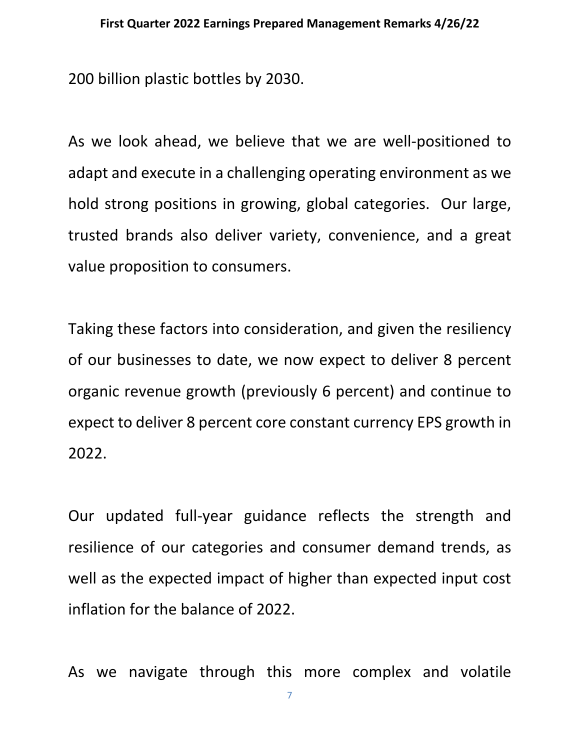200 billion plastic bottles by 2030.

As we look ahead, we believe that we are well-positioned to adapt and execute in a challenging operating environment as we hold strong positions in growing, global categories. Our large, trusted brands also deliver variety, convenience, and a great value proposition to consumers.

Taking these factors into consideration, and given the resiliency of our businesses to date, we now expect to deliver 8 percent organic revenue growth (previously 6 percent) and continue to expect to deliver 8 percent core constant currency EPS growth in 2022.

Our updated full-year guidance reflects the strength and resilience of our categories and consumer demand trends, as well as the expected impact of higher than expected input cost inflation for the balance of 2022.

As we navigate through this more complex and volatile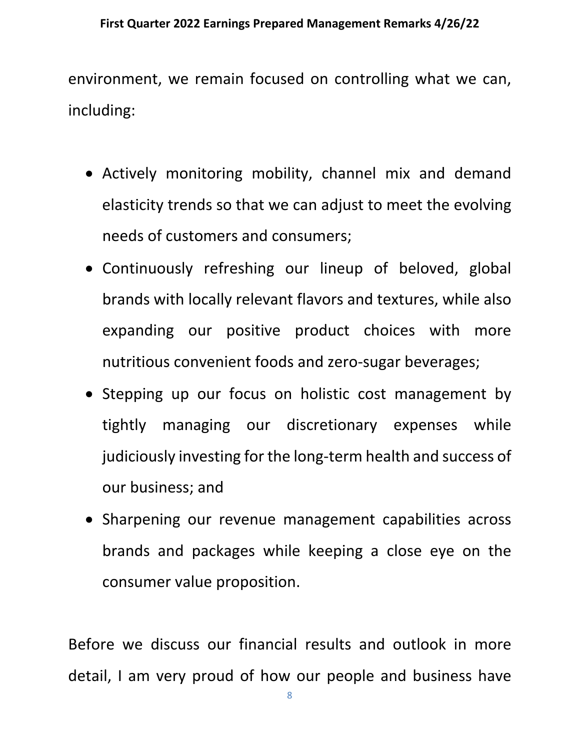environment, we remain focused on controlling what we can, including:

- Actively monitoring mobility, channel mix and demand elasticity trends so that we can adjust to meet the evolving needs of customers and consumers;
- Continuously refreshing our lineup of beloved, global brands with locally relevant flavors and textures, while also expanding our positive product choices with more nutritious convenient foods and zero-sugar beverages;
- Stepping up our focus on holistic cost management by tightly managing our discretionary expenses while judiciously investing for the long-term health and success of our business; and
- Sharpening our revenue management capabilities across brands and packages while keeping a close eye on the consumer value proposition.

Before we discuss our financial results and outlook in more detail, I am very proud of how our people and business have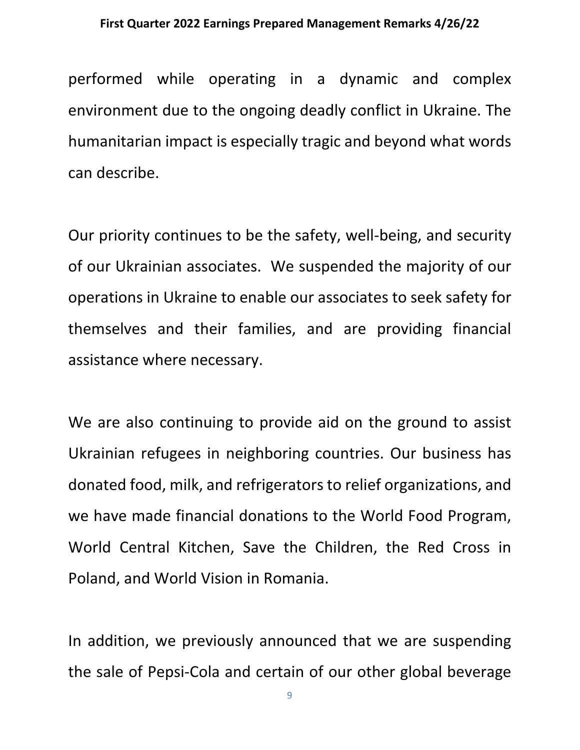performed while operating in a dynamic and complex environment due to the ongoing deadly conflict in Ukraine. The humanitarian impact is especially tragic and beyond what words can describe.

Our priority continues to be the safety, well-being, and security of our Ukrainian associates. We suspended the majority of our operations in Ukraine to enable our associates to seek safety for themselves and their families, and are providing financial assistance where necessary.

We are also continuing to provide aid on the ground to assist Ukrainian refugees in neighboring countries. Our business has donated food, milk, and refrigerators to relief organizations, and we have made financial donations to the World Food Program, World Central Kitchen, Save the Children, the Red Cross in Poland, and World Vision in Romania.

In addition, we previously announced that we are suspending the sale of Pepsi-Cola and certain of our other global beverage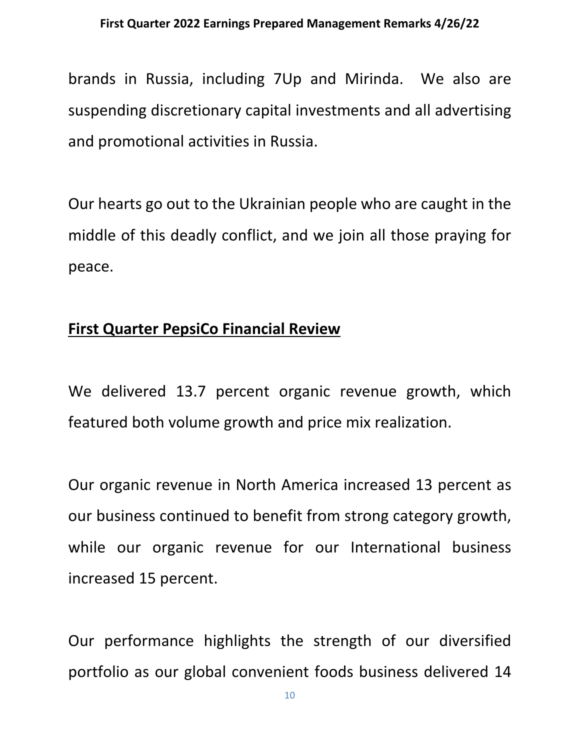brands in Russia, including 7Up and Mirinda. We also are suspending discretionary capital investments and all advertising and promotional activities in Russia.

Our hearts go out to the Ukrainian people who are caught in the middle of this deadly conflict, and we join all those praying for peace.

## **First Quarter PepsiCo Financial Review**

We delivered 13.7 percent organic revenue growth, which featured both volume growth and price mix realization.

Our organic revenue in North America increased 13 percent as our business continued to benefit from strong category growth, while our organic revenue for our International business increased 15 percent.

Our performance highlights the strength of our diversified portfolio as our global convenient foods business delivered 14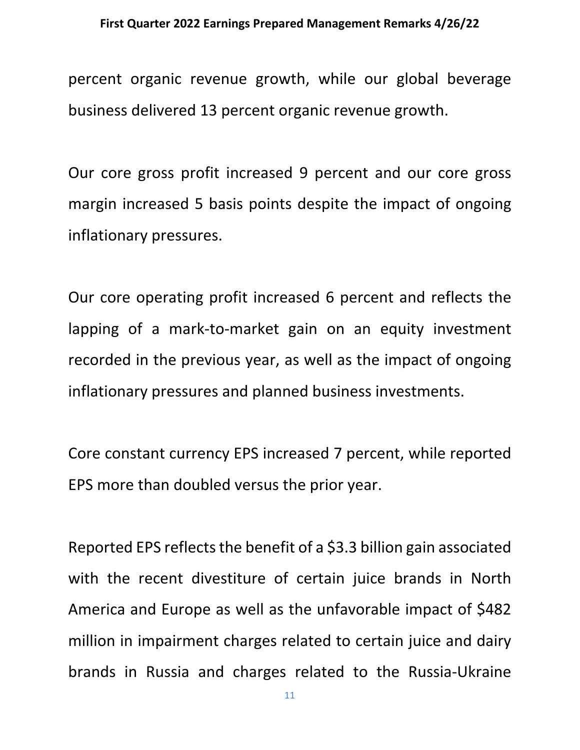percent organic revenue growth, while our global beverage business delivered 13 percent organic revenue growth.

Our core gross profit increased 9 percent and our core gross margin increased 5 basis points despite the impact of ongoing inflationary pressures.

Our core operating profit increased 6 percent and reflects the lapping of a mark-to-market gain on an equity investment recorded in the previous year, as well as the impact of ongoing inflationary pressures and planned business investments.

Core constant currency EPS increased 7 percent, while reported EPS more than doubled versus the prior year.

Reported EPS reflects the benefit of a \$3.3 billion gain associated with the recent divestiture of certain juice brands in North America and Europe as well as the unfavorable impact of \$482 million in impairment charges related to certain juice and dairy brands in Russia and charges related to the Russia-Ukraine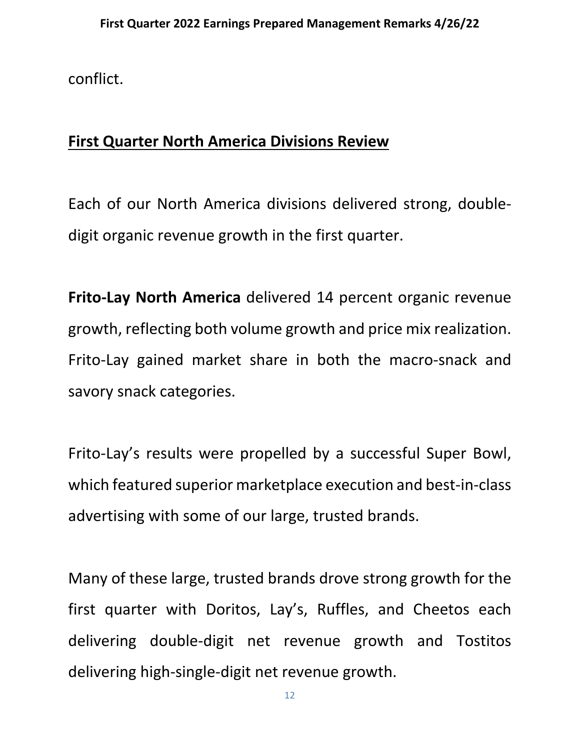conflict.

# **First Quarter North America Divisions Review**

Each of our North America divisions delivered strong, doubledigit organic revenue growth in the first quarter.

**Frito-Lay North America** delivered 14 percent organic revenue growth, reflecting both volume growth and price mix realization. Frito-Lay gained market share in both the macro-snack and savory snack categories.

Frito-Lay's results were propelled by a successful Super Bowl, which featured superior marketplace execution and best-in-class advertising with some of our large, trusted brands.

Many of these large, trusted brands drove strong growth for the first quarter with Doritos, Lay's, Ruffles, and Cheetos each delivering double-digit net revenue growth and Tostitos delivering high-single-digit net revenue growth.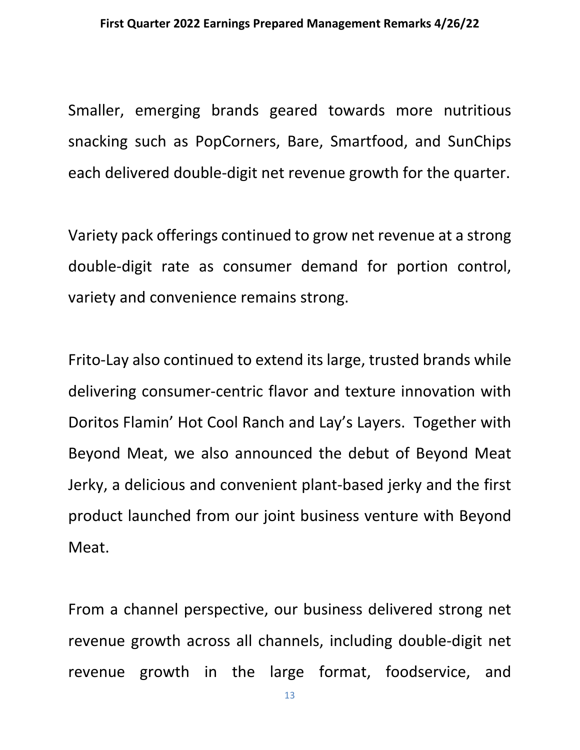Smaller, emerging brands geared towards more nutritious snacking such as PopCorners, Bare, Smartfood, and SunChips each delivered double-digit net revenue growth for the quarter.

Variety pack offerings continued to grow net revenue at a strong double-digit rate as consumer demand for portion control, variety and convenience remains strong.

Frito-Lay also continued to extend its large, trusted brands while delivering consumer-centric flavor and texture innovation with Doritos Flamin' Hot Cool Ranch and Lay's Layers. Together with Beyond Meat, we also announced the debut of Beyond Meat Jerky, a delicious and convenient plant-based jerky and the first product launched from our joint business venture with Beyond Meat.

From a channel perspective, our business delivered strong net revenue growth across all channels, including double-digit net revenue growth in the large format, foodservice, and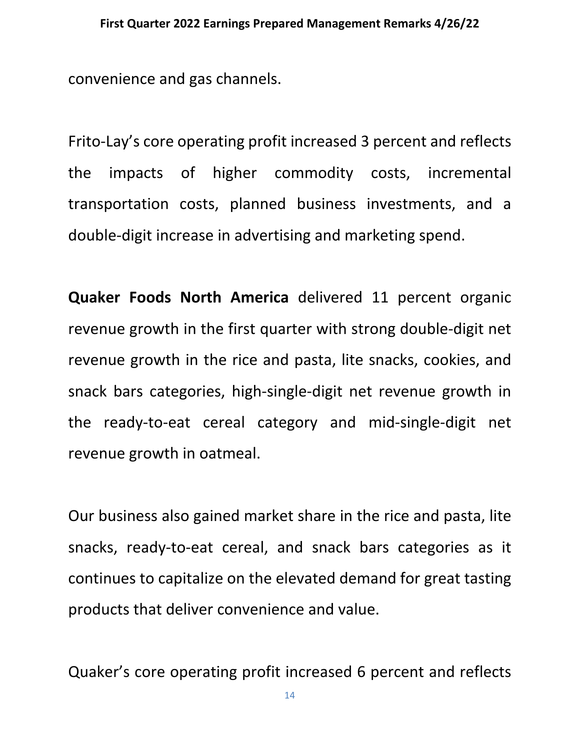convenience and gas channels.

Frito-Lay's core operating profit increased 3 percent and reflects the impacts of higher commodity costs, incremental transportation costs, planned business investments, and a double-digit increase in advertising and marketing spend.

**Quaker Foods North America** delivered 11 percent organic revenue growth in the first quarter with strong double-digit net revenue growth in the rice and pasta, lite snacks, cookies, and snack bars categories, high-single-digit net revenue growth in the ready-to-eat cereal category and mid-single-digit net revenue growth in oatmeal.

Our business also gained market share in the rice and pasta, lite snacks, ready-to-eat cereal, and snack bars categories as it continues to capitalize on the elevated demand for great tasting products that deliver convenience and value.

Quaker's core operating profit increased 6 percent and reflects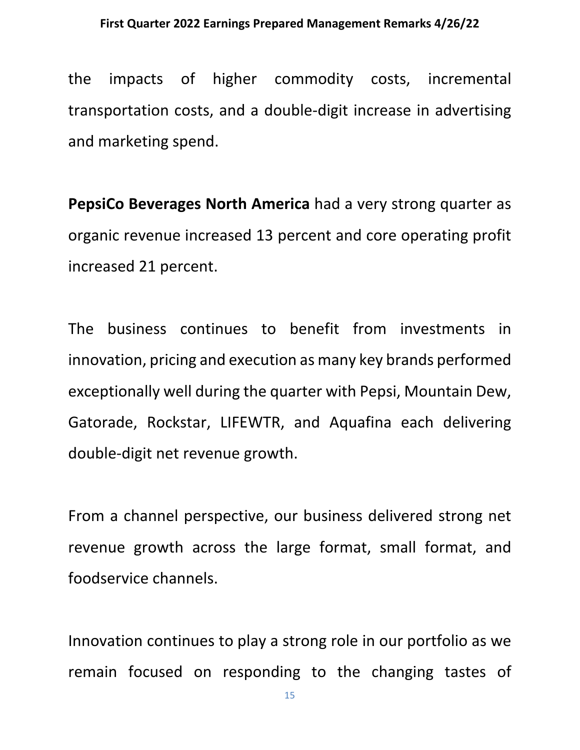the impacts of higher commodity costs, incremental transportation costs, and a double-digit increase in advertising and marketing spend.

**PepsiCo Beverages North America** had a very strong quarter as organic revenue increased 13 percent and core operating profit increased 21 percent.

The business continues to benefit from investments in innovation, pricing and execution as many key brands performed exceptionally well during the quarter with Pepsi, Mountain Dew, Gatorade, Rockstar, LIFEWTR, and Aquafina each delivering double-digit net revenue growth.

From a channel perspective, our business delivered strong net revenue growth across the large format, small format, and foodservice channels.

Innovation continues to play a strong role in our portfolio as we remain focused on responding to the changing tastes of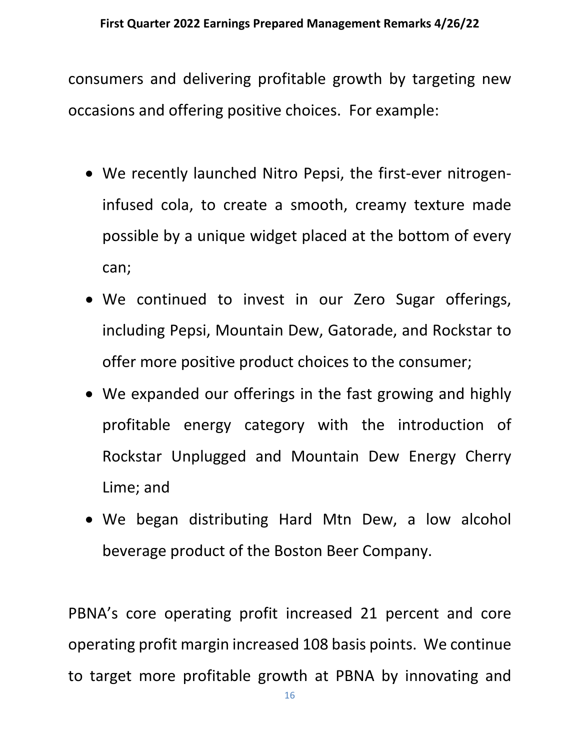consumers and delivering profitable growth by targeting new occasions and offering positive choices. For example:

- We recently launched Nitro Pepsi, the first-ever nitrogeninfused cola, to create a smooth, creamy texture made possible by a unique widget placed at the bottom of every can;
- We continued to invest in our Zero Sugar offerings, including Pepsi, Mountain Dew, Gatorade, and Rockstar to offer more positive product choices to the consumer;
- We expanded our offerings in the fast growing and highly profitable energy category with the introduction of Rockstar Unplugged and Mountain Dew Energy Cherry Lime; and
- We began distributing Hard Mtn Dew, a low alcohol beverage product of the Boston Beer Company.

PBNA's core operating profit increased 21 percent and core operating profit margin increased 108 basis points. We continue to target more profitable growth at PBNA by innovating and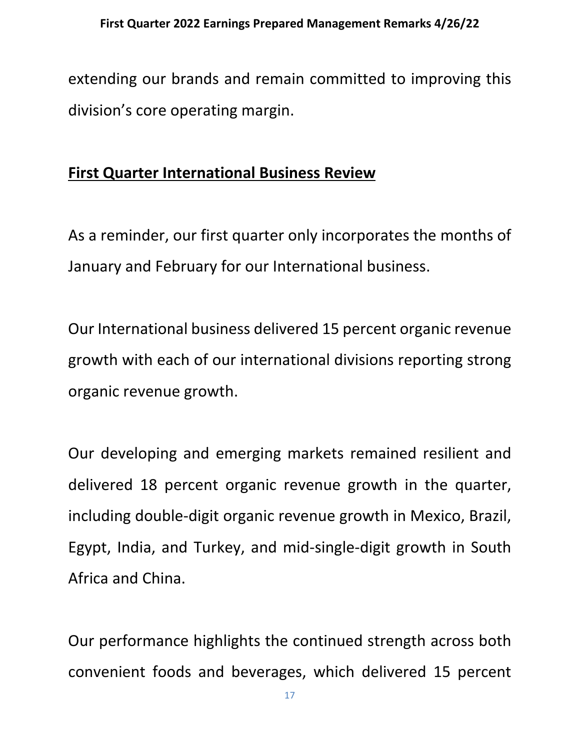extending our brands and remain committed to improving this division's core operating margin.

## **First Quarter International Business Review**

As a reminder, our first quarter only incorporates the months of January and February for our International business.

Our International business delivered 15 percent organic revenue growth with each of our international divisions reporting strong organic revenue growth.

Our developing and emerging markets remained resilient and delivered 18 percent organic revenue growth in the quarter, including double-digit organic revenue growth in Mexico, Brazil, Egypt, India, and Turkey, and mid-single-digit growth in South Africa and China.

Our performance highlights the continued strength across both convenient foods and beverages, which delivered 15 percent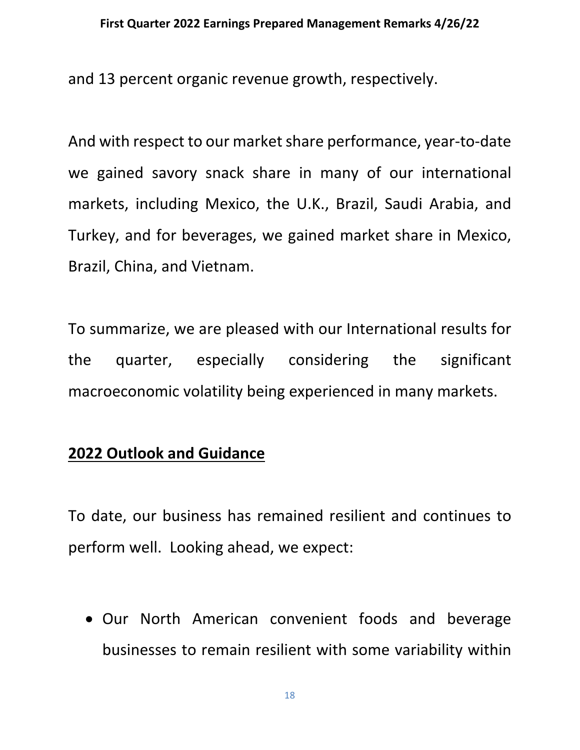and 13 percent organic revenue growth, respectively.

And with respect to our market share performance, year-to-date we gained savory snack share in many of our international markets, including Mexico, the U.K., Brazil, Saudi Arabia, and Turkey, and for beverages, we gained market share in Mexico, Brazil, China, and Vietnam.

To summarize, we are pleased with our International results for the quarter, especially considering the significant macroeconomic volatility being experienced in many markets.

## **2022 Outlook and Guidance**

To date, our business has remained resilient and continues to perform well. Looking ahead, we expect:

• Our North American convenient foods and beverage businesses to remain resilient with some variability within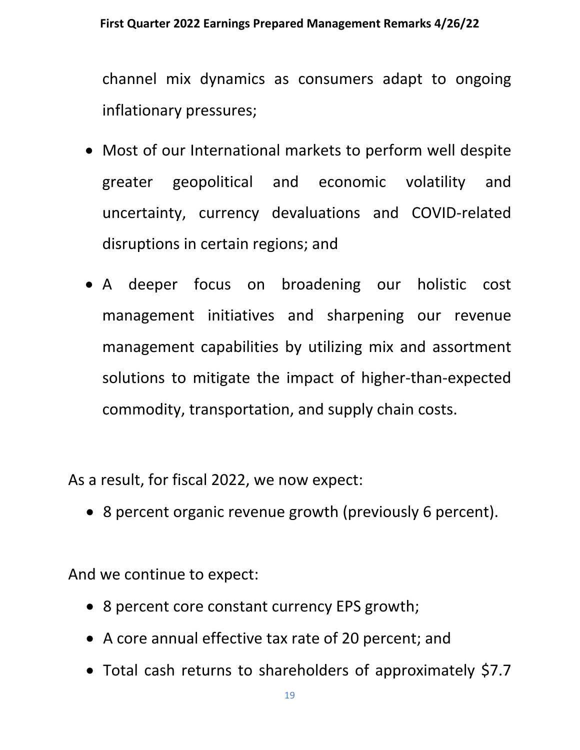channel mix dynamics as consumers adapt to ongoing inflationary pressures;

- Most of our International markets to perform well despite greater geopolitical and economic volatility and uncertainty, currency devaluations and COVID-related disruptions in certain regions; and
- A deeper focus on broadening our holistic cost management initiatives and sharpening our revenue management capabilities by utilizing mix and assortment solutions to mitigate the impact of higher-than-expected commodity, transportation, and supply chain costs.

As a result, for fiscal 2022, we now expect:

• 8 percent organic revenue growth (previously 6 percent).

And we continue to expect:

- 8 percent core constant currency EPS growth;
- A core annual effective tax rate of 20 percent; and
- Total cash returns to shareholders of approximately \$7.7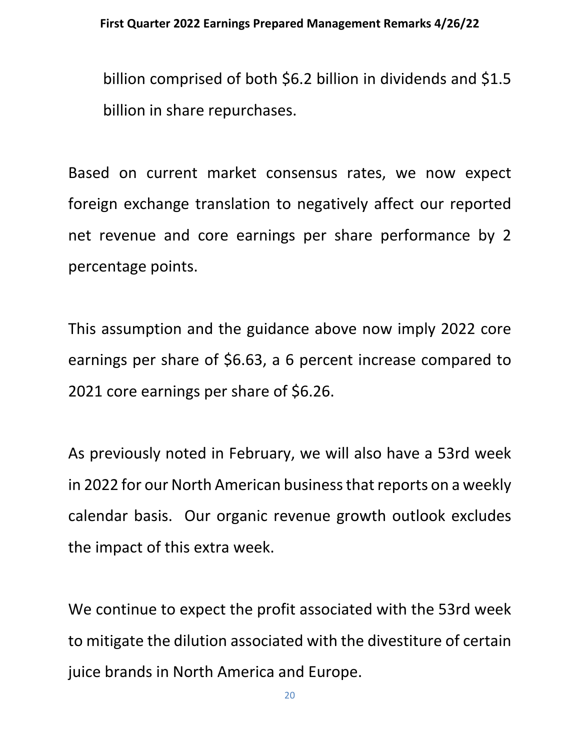billion comprised of both \$6.2 billion in dividends and \$1.5 billion in share repurchases.

Based on current market consensus rates, we now expect foreign exchange translation to negatively affect our reported net revenue and core earnings per share performance by 2 percentage points.

This assumption and the guidance above now imply 2022 core earnings per share of \$6.63, a 6 percent increase compared to 2021 core earnings per share of \$6.26.

As previously noted in February, we will also have a 53rd week in 2022 for our North American business that reports on a weekly calendar basis. Our organic revenue growth outlook excludes the impact of this extra week.

We continue to expect the profit associated with the 53rd week to mitigate the dilution associated with the divestiture of certain juice brands in North America and Europe.